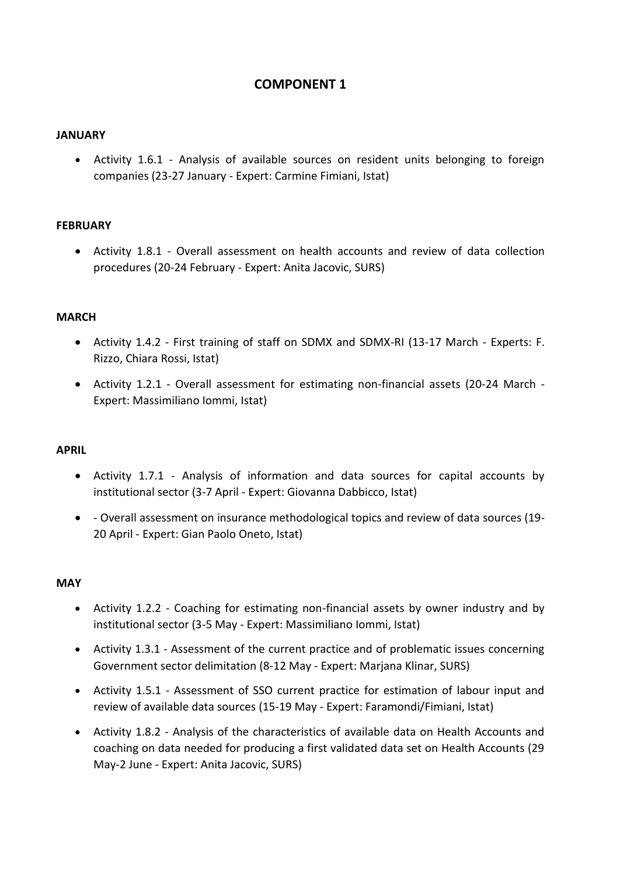# **COMPONENT 1**

### **JANUARY**

 Activity 1.6.1 - Analysis of available sources on resident units belonging to foreign companies (23-27 January - Expert: Carmine Fimiani, Istat)

# **FEBRUARY**

 Activity 1.8.1 - Overall assessment on health accounts and review of data collection procedures (20-24 February - Expert: Anita Jacovic, SURS)

#### **MARCH**

- Activity 1.4.2 First training of staff on SDMX and SDMX-RI (13-17 March Experts: F. Rizzo, Chiara Rossi, Istat)
- Activity 1.2.1 Overall assessment for estimating non-financial assets (20-24 March Expert: Massimiliano Iommi, Istat)

#### **APRIL**

- Activity 1.7.1 Analysis of information and data sources for capital accounts by institutional sector (3-7 April - Expert: Giovanna Dabbicco, Istat)
- Overall assessment on insurance methodological topics and review of data sources (19- 20 April - Expert: Gian Paolo Oneto, Istat)

# **MAY**

- Activity 1.2.2 Coaching for estimating non-financial assets by owner industry and by institutional sector (3-5 May - Expert: Massimiliano Iommi, Istat)
- Activity 1.3.1 Assessment of the current practice and of problematic issues concerning Government sector delimitation (8-12 May - Expert: Marjana Klinar, SURS)
- Activity 1.5.1 Assessment of SSO current practice for estimation of labour input and review of available data sources (15-19 May - Expert: Faramondi/Fimiani, Istat)
- Activity 1.8.2 Analysis of the characteristics of available data on Health Accounts and coaching on data needed for producing a first validated data set on Health Accounts (29 May-2 June - Expert: Anita Jacovic, SURS)